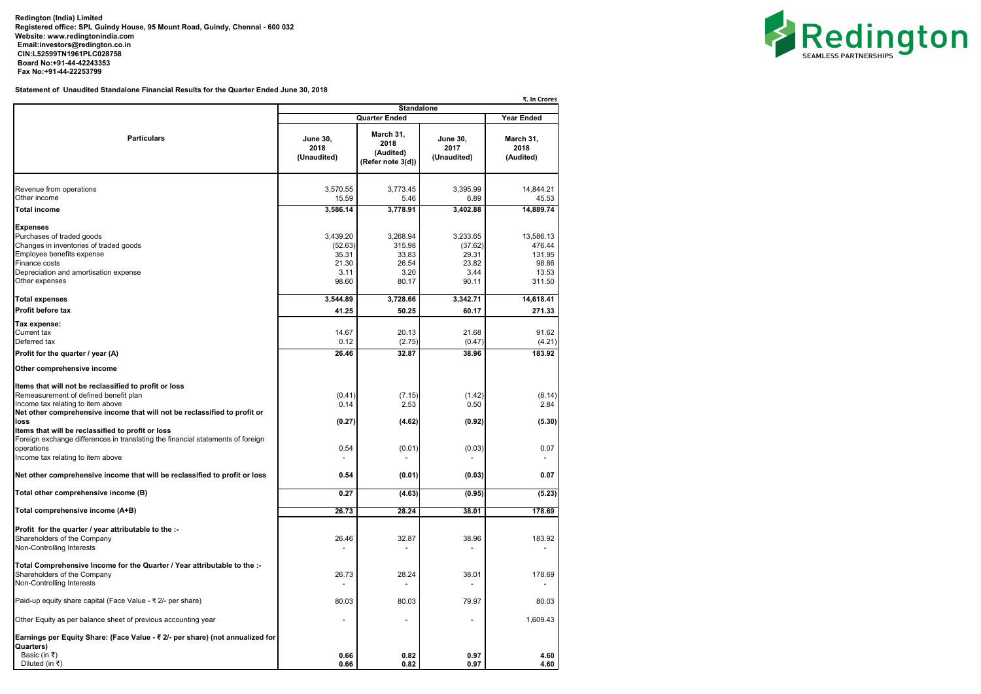**Redington (India) Limited Registered office: SPL Guindy House, 95 Mount Road, Guindy, Chennai - 600 032 Website: [www.redingtonindia.com](http://www.redingtonindia.com) [Email:investors@redington.co.in](mailto:Email:investors@redington.co.in) CIN:L52599TN1961PLC028758 Board No:+91-44-42243353 Fax No:+91-44-22253799**

**Statement of Unaudited Standalone Financial Results for the Quarter Ended June 30, 2018**

|                                                                                                                                                                                                                                                                               |                                        | <b>Standalone</b>                                                           |                                        | ₹. In Crores                   |
|-------------------------------------------------------------------------------------------------------------------------------------------------------------------------------------------------------------------------------------------------------------------------------|----------------------------------------|-----------------------------------------------------------------------------|----------------------------------------|--------------------------------|
|                                                                                                                                                                                                                                                                               |                                        | <b>Year Ended</b>                                                           |                                        |                                |
| <b>Particulars</b>                                                                                                                                                                                                                                                            | <b>June 30,</b><br>2018<br>(Unaudited) | <b>Quarter Ended</b><br>March 31,<br>2018<br>(Audited)<br>(Refer note 3(d)) | <b>June 30,</b><br>2017<br>(Unaudited) | March 31,<br>2018<br>(Audited) |
| Revenue from operations                                                                                                                                                                                                                                                       | 3,570.55                               | 3,773.45                                                                    | 3,395.99                               | 14,844.21                      |
| Other income<br><b>Total income</b>                                                                                                                                                                                                                                           | 15.59<br>3,586.14                      | 5.46<br>3,778.91                                                            | 6.89<br>3,402.88                       | 45.53<br>14,889.74             |
| <b>Expenses</b><br>Purchases of traded goods                                                                                                                                                                                                                                  | 3,439.20                               | 3,268.94                                                                    | 3,233.65                               | 13,586.13                      |
| Changes in inventories of traded goods<br>Employee benefits expense<br>Finance costs                                                                                                                                                                                          | (52.63)<br>35.31<br>21.30              | 315.98<br>33.83<br>26.54                                                    | (37.62)<br>29.31<br>23.82              | 476.44<br>131.95<br>98.86      |
| Depreciation and amortisation expense<br>Other expenses                                                                                                                                                                                                                       | 3.11<br>98.60                          | 3.20<br>80.17                                                               | 3.44<br>90.11                          | 13.53<br>311.50                |
| <b>Total expenses</b>                                                                                                                                                                                                                                                         | 3,544.89                               | 3,728.66                                                                    | 3,342.71                               | 14,618.41                      |
| Profit before tax                                                                                                                                                                                                                                                             | 41.25                                  | 50.25                                                                       | 60.17                                  | 271.33                         |
| Tax expense:<br>Current tax<br>Deferred tax                                                                                                                                                                                                                                   | 14.67<br>0.12                          | 20.13<br>(2.75)                                                             | 21.68<br>(0.47)                        | 91.62<br>(4.21)                |
| Profit for the quarter / year (A)                                                                                                                                                                                                                                             | 26.46                                  | 32.87                                                                       | 38.96                                  | 183.92                         |
| Other comprehensive income                                                                                                                                                                                                                                                    |                                        |                                                                             |                                        |                                |
| Items that will not be reclassified to profit or loss<br>Remeasurement of defined benefit plan<br>Income tax relating to item above<br>Net other comprehensive income that will not be reclassified to profit or<br>loss<br>Items that will be reclassified to profit or loss | (0.41)<br>0.14<br>(0.27)               | (7.15)<br>2.53<br>(4.62)                                                    | (1.42)<br>0.50<br>(0.92)               | (8.14)<br>2.84<br>(5.30)       |
| Foreign exchange differences in translating the financial statements of foreign<br>operations<br>Income tax relating to item above                                                                                                                                            | 0.54                                   | (0.01)                                                                      | (0.03)                                 | 0.07                           |
| Net other comprehensive income that will be reclassified to profit or loss                                                                                                                                                                                                    | 0.54                                   | (0.01)                                                                      | (0.03)                                 | 0.07                           |
| Total other comprehensive income (B)                                                                                                                                                                                                                                          | 0.27                                   | (4.63)                                                                      | (0.95)                                 | (5.23)                         |
| Total comprehensive income (A+B)                                                                                                                                                                                                                                              | 26.73                                  | 28.24                                                                       | 38.01                                  | 178.69                         |
| Profit for the quarter / year attributable to the :-<br>Shareholders of the Company<br>Non-Controlling Interests                                                                                                                                                              | 26.46                                  | 32.87                                                                       | 38.96                                  | 183.92                         |
| Total Comprehensive Income for the Quarter / Year attributable to the :-<br>Shareholders of the Company<br>Non-Controlling Interests                                                                                                                                          | 26.73                                  | 28.24                                                                       | 38.01                                  | 178.69                         |
| Paid-up equity share capital (Face Value - ₹ 2/- per share)                                                                                                                                                                                                                   | 80.03                                  | 80.03                                                                       | 79.97                                  | 80.03                          |
| Other Equity as per balance sheet of previous accounting year                                                                                                                                                                                                                 |                                        | $\blacksquare$                                                              |                                        | 1,609.43                       |
| Earnings per Equity Share: (Face Value - ₹ 2/- per share) (not annualized for<br>Quarters)<br>Basic (in ₹)<br>Diluted (in ₹)                                                                                                                                                  | 0.66<br>0.66                           | 0.82<br>0.82                                                                | 0.97<br>0.97                           | 4.60<br>4.60                   |

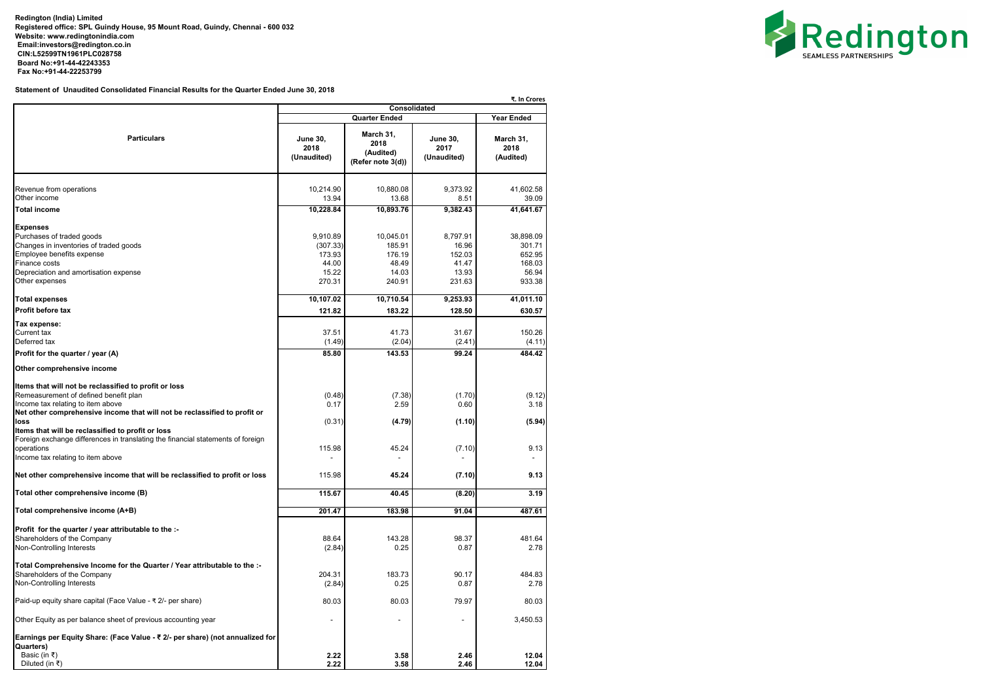**Redington (India) Limited Registered office: SPL Guindy House, 95 Mount Road, Guindy, Chennai - 600 032 Website: [www.redingtonindia.com](http://www.redingtonindia.com) [Email:investors@redington.co.in](mailto:Email:investors@redington.co.in) CIN:L52599TN1961PLC028758 Board No:+91-44-42243353 Fax No:+91-44-22253799**

**Statement of Unaudited Consolidated Financial Results for the Quarter Ended June 30, 2018**

|                                                                                 |                                        | <b>Consolidated</b>                                 |                                        | ₹. In Crores                   |  |
|---------------------------------------------------------------------------------|----------------------------------------|-----------------------------------------------------|----------------------------------------|--------------------------------|--|
|                                                                                 |                                        |                                                     |                                        |                                |  |
|                                                                                 | <b>Quarter Ended</b>                   |                                                     |                                        | <b>Year Ended</b>              |  |
| <b>Particulars</b>                                                              | <b>June 30,</b><br>2018<br>(Unaudited) | March 31,<br>2018<br>(Audited)<br>(Refer note 3(d)) | <b>June 30,</b><br>2017<br>(Unaudited) | March 31,<br>2018<br>(Audited) |  |
| Revenue from operations                                                         | 10,214.90                              | 10,880.08                                           | 9,373.92                               | 41,602.58                      |  |
| Other income                                                                    | 13.94                                  | 13.68                                               | 8.51                                   | 39.09                          |  |
| <b>Total income</b>                                                             | 10,228.84                              | 10,893.76                                           | 9,382.43                               | 41,641.67                      |  |
| <b>Expenses</b>                                                                 |                                        |                                                     |                                        |                                |  |
| Purchases of traded goods                                                       | 9,910.89                               | 10,045.01                                           | 8,797.91                               | 38,898.09                      |  |
| Changes in inventories of traded goods                                          | (307.33)                               | 185.91                                              | 16.96                                  | 301.71                         |  |
| Employee benefits expense                                                       | 173.93                                 | 176.19                                              | 152.03                                 | 652.95                         |  |
| Finance costs                                                                   | 44.00                                  | 48.49                                               | 41.47                                  | 168.03                         |  |
| Depreciation and amortisation expense                                           | 15.22                                  | 14.03                                               | 13.93                                  | 56.94                          |  |
| Other expenses                                                                  | 270.31                                 | 240.91                                              | 231.63                                 | 933.38                         |  |
| <b>Total expenses</b>                                                           | 10,107.02                              | 10,710.54                                           | 9,253.93                               | 41,011.10                      |  |
| Profit before tax                                                               | 121.82                                 | 183.22                                              | 128.50                                 | 630.57                         |  |
| Tax expense:                                                                    |                                        |                                                     |                                        |                                |  |
| Current tax                                                                     | 37.51                                  | 41.73                                               | 31.67                                  | 150.26                         |  |
| Deferred tax                                                                    | (1.49)                                 | (2.04)                                              | (2.41)                                 | (4.11)                         |  |
| Profit for the quarter / year (A)                                               | 85.80                                  | 143.53                                              | 99.24                                  | 484.42                         |  |
| Other comprehensive income                                                      |                                        |                                                     |                                        |                                |  |
| Items that will not be reclassified to profit or loss                           |                                        |                                                     |                                        |                                |  |
| Remeasurement of defined benefit plan                                           | (0.48)                                 | (7.38)                                              | (1.70)                                 | (9.12)                         |  |
| Income tax relating to item above                                               | 0.17                                   | 2.59                                                | 0.60                                   | 3.18                           |  |
| Net other comprehensive income that will not be reclassified to profit or       |                                        |                                                     |                                        |                                |  |
| loss                                                                            | (0.31)                                 | (4.79)                                              | (1.10)                                 | (5.94)                         |  |
| Items that will be reclassified to profit or loss                               |                                        |                                                     |                                        |                                |  |
| Foreign exchange differences in translating the financial statements of foreign |                                        |                                                     |                                        |                                |  |
| operations                                                                      | 115.98                                 | 45.24                                               | (7.10)                                 | 9.13                           |  |
| Income tax relating to item above                                               |                                        |                                                     |                                        |                                |  |
| Net other comprehensive income that will be reclassified to profit or loss      | 115.98                                 | 45.24                                               | (7.10)                                 | 9.13                           |  |
| Total other comprehensive income (B)                                            | 115.67                                 | 40.45                                               | (8.20)                                 | 3.19                           |  |
| Total comprehensive income (A+B)                                                | 201.47                                 | 183.98                                              | 91.04                                  | 487.61                         |  |
|                                                                                 |                                        |                                                     |                                        |                                |  |
| Profit for the quarter / year attributable to the :-                            |                                        |                                                     |                                        |                                |  |
| Shareholders of the Company                                                     | 88.64                                  | 143.28                                              | 98.37                                  | 481.64                         |  |
| Non-Controlling Interests                                                       | (2.84)                                 | 0.25                                                | 0.87                                   | 2.78                           |  |
| Total Comprehensive Income for the Quarter / Year attributable to the :-        |                                        |                                                     |                                        |                                |  |
| Shareholders of the Company                                                     | 204.31                                 | 183.73                                              | 90.17                                  | 484.83                         |  |
| Non-Controlling Interests                                                       | (2.84)                                 | 0.25                                                | 0.87                                   | 2.78                           |  |
| Paid-up equity share capital (Face Value - ₹ 2/- per share)                     | 80.03                                  | 80.03                                               | 79.97                                  | 80.03                          |  |
| Other Equity as per balance sheet of previous accounting year                   | $\blacksquare$                         | $\blacksquare$                                      | $\overline{\phantom{a}}$               | 3,450.53                       |  |
| Earnings per Equity Share: (Face Value - ₹ 2/- per share) (not annualized for   |                                        |                                                     |                                        |                                |  |
| Quarters)                                                                       |                                        |                                                     |                                        |                                |  |
| Basic (in ₹)<br>Diluted (in ₹)                                                  | 2.22<br>2.22                           | 3.58<br>3.58                                        | 2.46<br>2.46                           | 12.04<br>12.04                 |  |